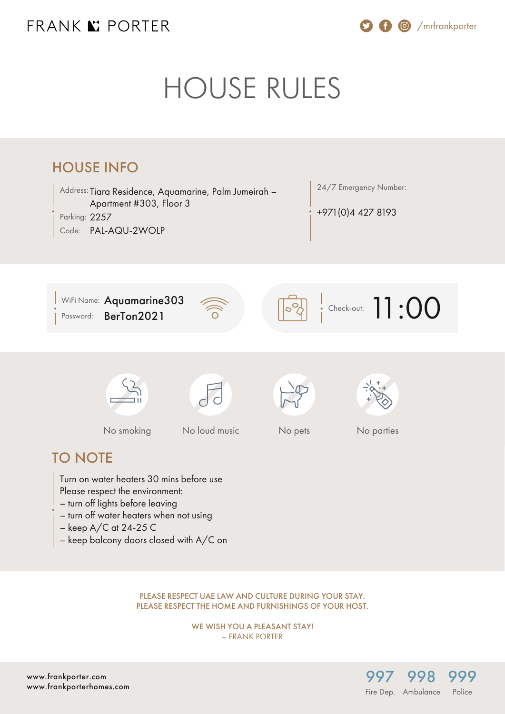### FRANK K PORTER

/mrfrankporter

# HOUSE RULES



PLEASE RESPECT UAE LAW AND CULTURE DURING YOUR STAY. PLEASE RESPECT THE HOME AND FURNISHINGS OF YOUR HOST.

> WE WISH YOU A PLEASANT STAY! – FRANK PORTER

> > [997](#page--1-0)

Fire Dep. Ambulance

[998](#page--1-0)

[999](#page--1-0) **Police** 

[www.frankporter.com](https://www.frankporter.com) [www.frankporterhomes.com](https://www.frankporterhomes.com)